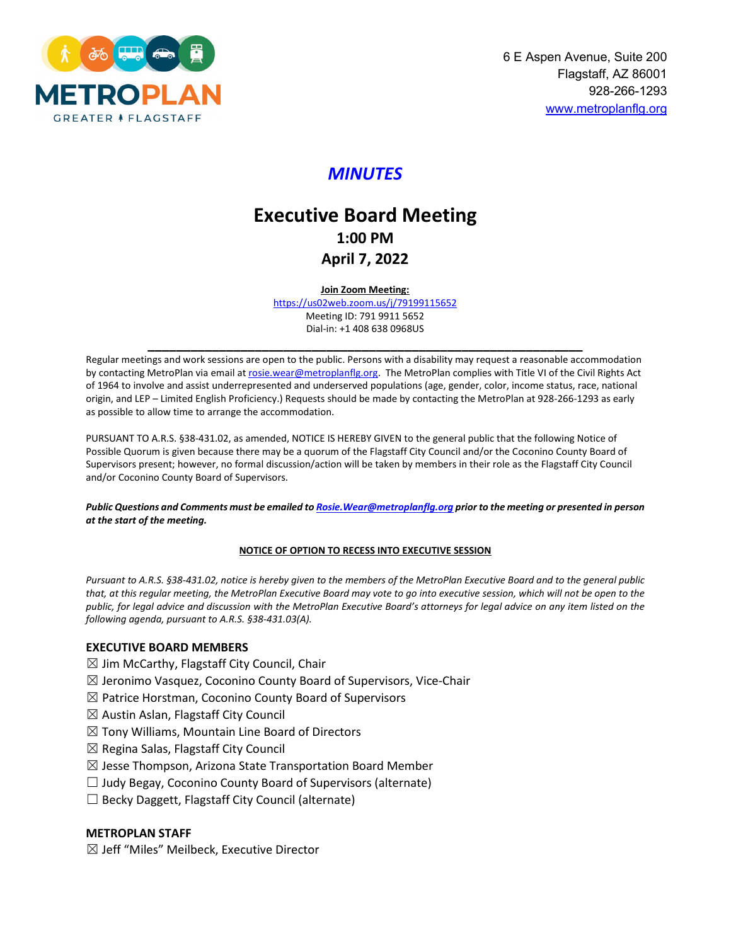

## *MINUTES*

# **Executive Board Meeting 1:00 PM April 7, 2022**

**Join Zoom Meeting:** 

<https://us02web.zoom.us/j/79199115652> Meeting ID: 791 9911 5652 Dial-in: +1 408 638 0968US

**\_\_\_\_\_\_\_\_\_\_\_\_\_\_\_\_\_\_\_\_\_\_\_\_\_\_\_\_\_\_\_\_\_\_\_\_\_\_\_\_\_\_\_\_\_\_\_\_\_\_\_\_\_\_\_\_\_\_\_\_\_** Regular meetings and work sessions are open to the public. Persons with a disability may request a reasonable accommodation by contacting MetroPlan via email at rosie.wear@metroplanflg.org. The MetroPlan complies with Title VI of the Civil Rights Act of 1964 to involve and assist underrepresented and underserved populations (age, gender, color, income status, race, national origin, and LEP – Limited English Proficiency.) Requests should be made by contacting the MetroPlan at 928-266-1293 as early as possible to allow time to arrange the accommodation.

PURSUANT TO A.R.S. §38-431.02, as amended, NOTICE IS HEREBY GIVEN to the general public that the following Notice of Possible Quorum is given because there may be a quorum of the Flagstaff City Council and/or the Coconino County Board of Supervisors present; however, no formal discussion/action will be taken by members in their role as the Flagstaff City Council and/or Coconino County Board of Supervisors.

*Public Questions and Comments must be emailed t[o Rosie.Wear@metroplanflg.org](mailto:Rosie.Wear@metroplanflg.org) prior to the meeting or presented in person at the start of the meeting.* 

#### **NOTICE OF OPTION TO RECESS INTO EXECUTIVE SESSION**

*Pursuant to A.R.S. §38-431.02, notice is hereby given to the members of the MetroPlan Executive Board and to the general public that, at this regular meeting, the MetroPlan Executive Board may vote to go into executive session, which will not be open to the public, for legal advice and discussion with the MetroPlan Executive Board's attorneys for legal advice on any item listed on the following agenda, pursuant to A.R.S. §38-431.03(A).* 

#### **EXECUTIVE BOARD MEMBERS**

- $\boxtimes$  Jim McCarthy, Flagstaff City Council, Chair
- $\boxtimes$  Jeronimo Vasquez, Coconino County Board of Supervisors, Vice-Chair
- $\boxtimes$  Patrice Horstman, Coconino County Board of Supervisors
- ☒ Austin Aslan, Flagstaff City Council
- $\boxtimes$  Tony Williams, Mountain Line Board of Directors
- $\boxtimes$  Regina Salas, Flagstaff City Council
- $\boxtimes$  Jesse Thompson, Arizona State Transportation Board Member
- $\Box$  Judy Begay, Coconino County Board of Supervisors (alternate)
- $\Box$  Becky Daggett, Flagstaff City Council (alternate)

#### **METROPLAN STAFF**

 $\boxtimes$  Jeff "Miles" Meilbeck, Executive Director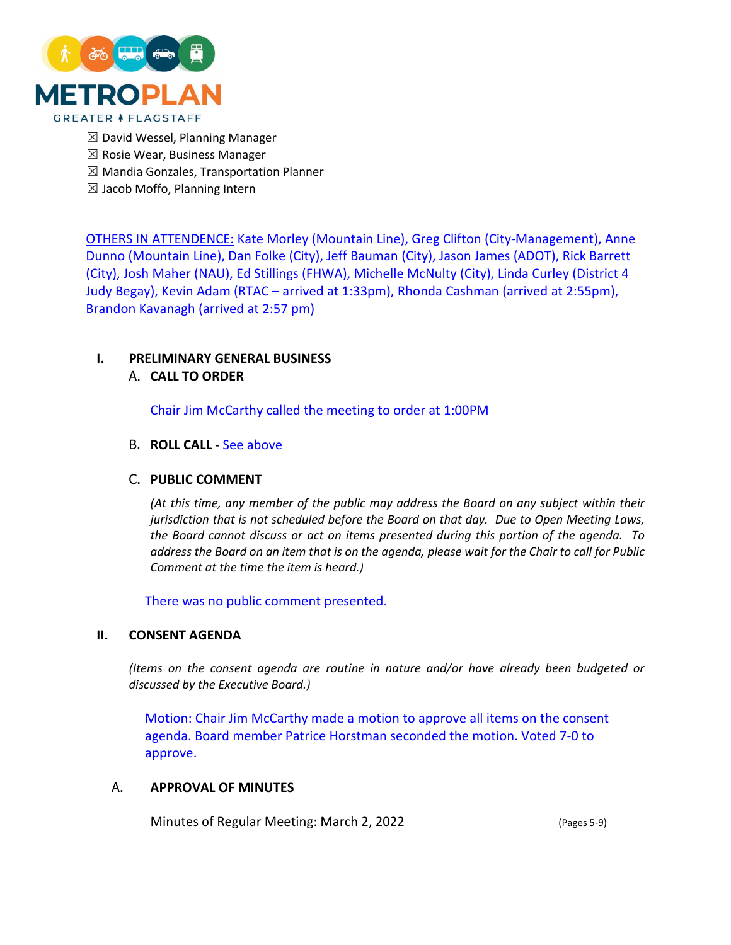

- $\boxtimes$  David Wessel, Planning Manager
- $\boxtimes$  Rosie Wear, Business Manager
- $\boxtimes$  Mandia Gonzales, Transportation Planner
- $\boxtimes$  Jacob Moffo, Planning Intern

OTHERS IN ATTENDENCE: Kate Morley (Mountain Line), Greg Clifton (City-Management), Anne Dunno (Mountain Line), Dan Folke (City), Jeff Bauman (City), Jason James (ADOT), Rick Barrett (City), Josh Maher (NAU), Ed Stillings (FHWA), Michelle McNulty (City), Linda Curley (District 4 Judy Begay), Kevin Adam (RTAC – arrived at 1:33pm), Rhonda Cashman (arrived at 2:55pm), Brandon Kavanagh (arrived at 2:57 pm)

## **I. PRELIMINARY GENERAL BUSINESS**

## A. **CALL TO ORDER**

Chair Jim McCarthy called the meeting to order at 1:00PM

## B. **ROLL CALL -** See above

## C. **PUBLIC COMMENT**

*(At this time, any member of the public may address the Board on any subject within their jurisdiction that is not scheduled before the Board on that day. Due to Open Meeting Laws, the Board cannot discuss or act on items presented during this portion of the agenda. To address the Board on an item that is on the agenda, please wait for the Chair to call for Public Comment at the time the item is heard.)*

There was no public comment presented.

#### **II. CONSENT AGENDA**

*(Items on the consent agenda are routine in nature and/or have already been budgeted or discussed by the Executive Board.)*

Motion: Chair Jim McCarthy made a motion to approve all items on the consent agenda. Board member Patrice Horstman seconded the motion. Voted 7-0 to approve.

#### A. **APPROVAL OF MINUTES**

Minutes of Regular Meeting: March 2, 2022 (Pages 5-9)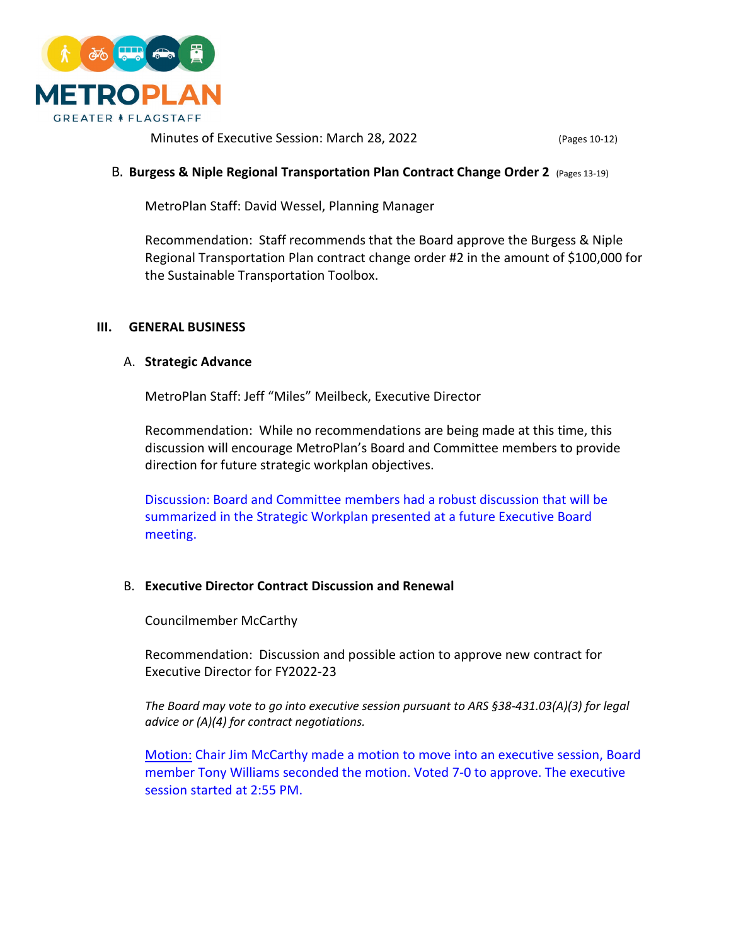

Minutes of Executive Session: March 28, 2022 (Pages 10-12)

## B. **Burgess & Niple Regional Transportation Plan Contract Change Order 2** (Pages 13-19)

MetroPlan Staff: David Wessel, Planning Manager

Recommendation: Staff recommends that the Board approve the Burgess & Niple Regional Transportation Plan contract change order #2 in the amount of \$100,000 for the Sustainable Transportation Toolbox.

## **III. GENERAL BUSINESS**

#### A. **Strategic Advance**

MetroPlan Staff: Jeff "Miles" Meilbeck, Executive Director

Recommendation: While no recommendations are being made at this time, this discussion will encourage MetroPlan's Board and Committee members to provide direction for future strategic workplan objectives.

Discussion: Board and Committee members had a robust discussion that will be summarized in the Strategic Workplan presented at a future Executive Board meeting.

## B. **Executive Director Contract Discussion and Renewal**

Councilmember McCarthy

Recommendation: Discussion and possible action to approve new contract for Executive Director for FY2022-23

*The Board may vote to go into executive session pursuant to ARS §38-431.03(A)(3) for legal advice or (A)(4) for contract negotiations.*

Motion: Chair Jim McCarthy made a motion to move into an executive session, Board member Tony Williams seconded the motion. Voted 7-0 to approve. The executive session started at 2:55 PM.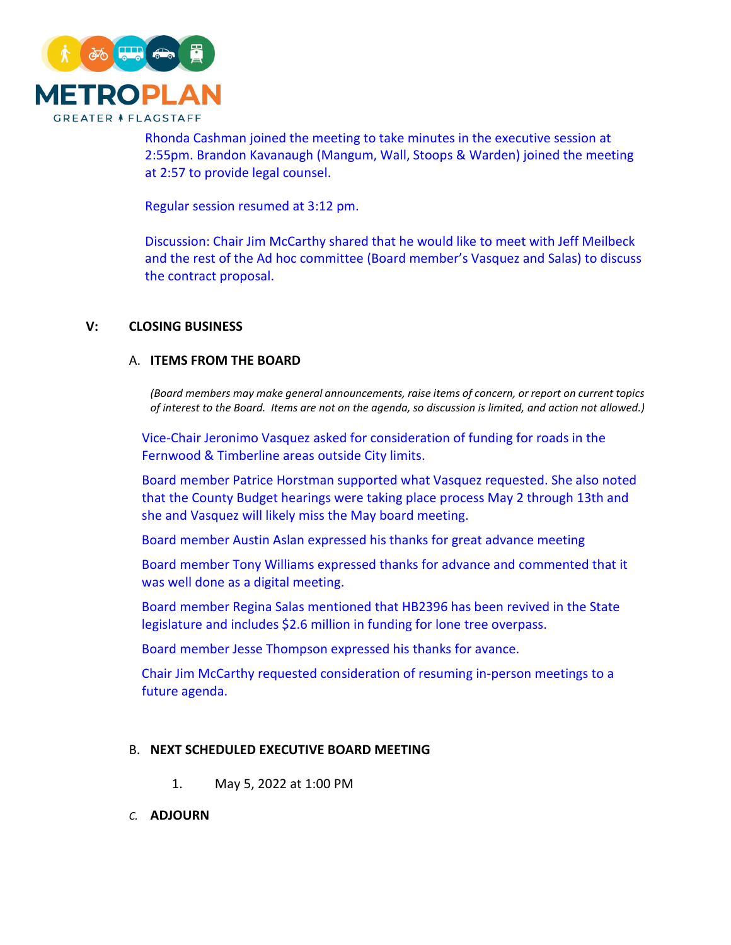

Rhonda Cashman joined the meeting to take minutes in the executive session at 2:55pm. Brandon Kavanaugh (Mangum, Wall, Stoops & Warden) joined the meeting at 2:57 to provide legal counsel.

Regular session resumed at 3:12 pm.

Discussion: Chair Jim McCarthy shared that he would like to meet with Jeff Meilbeck and the rest of the Ad hoc committee (Board member's Vasquez and Salas) to discuss the contract proposal.

## **V: CLOSING BUSINESS**

## A. **ITEMS FROM THE BOARD**

*(Board members may make general announcements, raise items of concern, or report on current topics of interest to the Board. Items are not on the agenda, so discussion is limited, and action not allowed.)*

Vice-Chair Jeronimo Vasquez asked for consideration of funding for roads in the Fernwood & Timberline areas outside City limits.

Board member Patrice Horstman supported what Vasquez requested. She also noted that the County Budget hearings were taking place process May 2 through 13th and she and Vasquez will likely miss the May board meeting.

Board member Austin Aslan expressed his thanks for great advance meeting

Board member Tony Williams expressed thanks for advance and commented that it was well done as a digital meeting.

Board member Regina Salas mentioned that HB2396 has been revived in the State legislature and includes \$2.6 million in funding for lone tree overpass.

Board member Jesse Thompson expressed his thanks for avance.

Chair Jim McCarthy requested consideration of resuming in-person meetings to a future agenda.

## B. **NEXT SCHEDULED EXECUTIVE BOARD MEETING**

- 1. May 5, 2022 at 1:00 PM
- *C.* **ADJOURN**